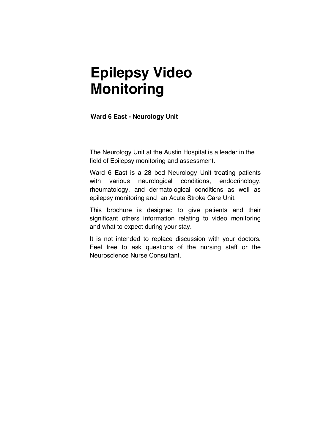# **Epilepsy Video Monitoring**

**Ward 6 East - Neurology Unit** 

The Neurology Unit at the Austin Hospital is a leader in the field of Epilepsy monitoring and assessment.

Ward 6 East is a 28 bed Neurology Unit treating patients with various neurological conditions, endocrinology, rheumatology, and dermatological conditions as well as epilepsy monitoring and an Acute Stroke Care Unit.

This brochure is designed to give patients and their significant others information relating to video monitoring and what to expect during your stay.

It is not intended to replace discussion with your doctors. Feel free to ask questions of the nursing staff or the Neuroscience Nurse Consultant.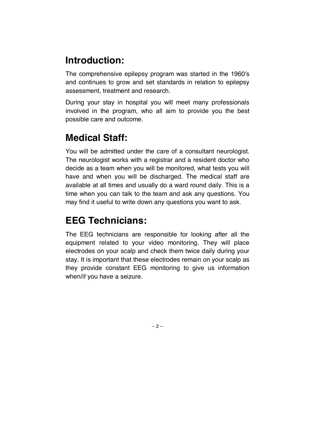# **Introduction:**

The comprehensive epilepsy program was started in the 1960's and continues to grow and set standards in relation to epilepsy assessment, treatment and research.

During your stay in hospital you will meet many professionals involved in the program, who all aim to provide you the best possible care and outcome.

# **Medical Staff:**

You will be admitted under the care of a consultant neurologist. The neurologist works with a registrar and a resident doctor who decide as a team when you will be monitored, what tests you will have and when you will be discharged. The medical staff are available at all times and usually do a ward round daily. This is a time when you can talk to the team and ask any questions. You may find it useful to write down any questions you want to ask.

# **EEG Technicians:**

The EEG technicians are responsible for looking after all the equipment related to your video monitoring. They will place electrodes on your scalp and check them twice daily during your stay. It is important that these electrodes remain on your scalp as they provide constant EEG monitoring to give us information when/if you have a seizure.

 $-2-$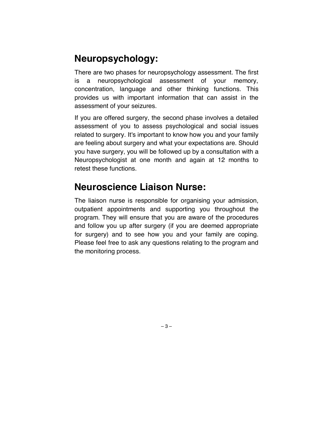# **Neuropsychology:**

There are two phases for neuropsychology assessment. The first is a neuropsychological assessment of your memory, concentration, language and other thinking functions. This provides us with important information that can assist in the assessment of your seizures.

If you are offered surgery, the second phase involves a detailed assessment of you to assess psychological and social issues related to surgery. It's important to know how you and your family are feeling about surgery and what your expectations are. Should you have surgery, you will be followed up by a consultation with a Neuropsychologist at one month and again at 12 months to retest these functions.

# **Neuroscience Liaison Nurse:**

The liaison nurse is responsible for organising your admission, outpatient appointments and supporting you throughout the program. They will ensure that you are aware of the procedures and follow you up after surgery (if you are deemed appropriate for surgery) and to see how you and your family are coping. Please feel free to ask any questions relating to the program and the monitoring process.

– 3 –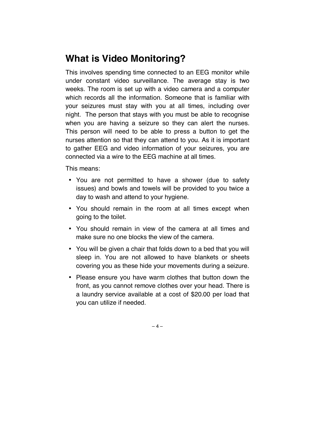# **What is Video Monitoring?**

This involves spending time connected to an EEG monitor while under constant video surveillance. The average stay is two weeks. The room is set up with a video camera and a computer which records all the information. Someone that is familiar with your seizures must stay with you at all times, including over night. The person that stays with you must be able to recognise when you are having a seizure so they can alert the nurses. This person will need to be able to press a button to get the nurses attention so that they can attend to you. As it is important to gather EEG and video information of your seizures, you are connected via a wire to the EEG machine at all times.

This means:

- You are not permitted to have a shower (due to safety issues) and bowls and towels will be provided to you twice a day to wash and attend to your hygiene.
- You should remain in the room at all times except when going to the toilet.
- You should remain in view of the camera at all times and make sure no one blocks the view of the camera.
- You will be given a chair that folds down to a bed that you will sleep in. You are not allowed to have blankets or sheets covering you as these hide your movements during a seizure.
- Please ensure you have warm clothes that button down the front, as you cannot remove clothes over your head. There is a laundry service available at a cost of \$20.00 per load that you can utilize if needed.

 $-4-$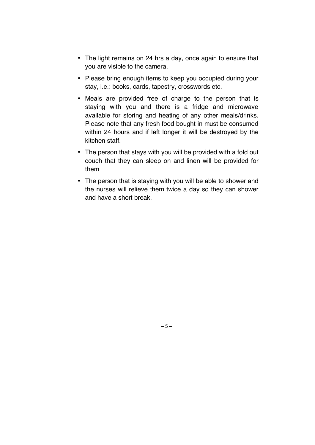- The light remains on 24 hrs a day, once again to ensure that you are visible to the camera.
- Please bring enough items to keep you occupied during your stay, i.e.: books, cards, tapestry, crosswords etc.
- Meals are provided free of charge to the person that is staying with you and there is a fridge and microwave available for storing and heating of any other meals/drinks. Please note that any fresh food bought in must be consumed within 24 hours and if left longer it will be destroyed by the kitchen staff.
- The person that stays with you will be provided with a fold out couch that they can sleep on and linen will be provided for them
- The person that is staying with you will be able to shower and the nurses will relieve them twice a day so they can shower and have a short break.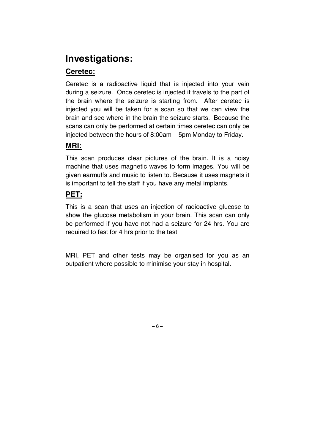# **Investigations:**

### **Ceretec:**

Ceretec is a radioactive liquid that is injected into your vein during a seizure. Once ceretec is injected it travels to the part of the brain where the seizure is starting from. After ceretec is injected you will be taken for a scan so that we can view the brain and see where in the brain the seizure starts. Because the scans can only be performed at certain times ceretec can only be injected between the hours of 8:00am – 5pm Monday to Friday.

### **MRI:**

This scan produces clear pictures of the brain. It is a noisy machine that uses magnetic waves to form images. You will be given earmuffs and music to listen to. Because it uses magnets it is important to tell the staff if you have any metal implants.

### **PET:**

This is a scan that uses an injection of radioactive glucose to show the glucose metabolism in your brain. This scan can only be performed if you have not had a seizure for 24 hrs. You are required to fast for 4 hrs prior to the test

MRI, PET and other tests may be organised for you as an outpatient where possible to minimise your stay in hospital.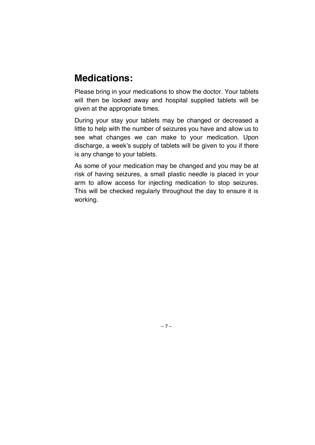### **Medications:**

Please bring in your medications to show the doctor. Your tablets will then be locked away and hospital supplied tablets will be given at the appropriate times.

During your stay your tablets may be changed or decreased a little to help with the number of seizures you have and allow us to see what changes we can make to your medication. Upon discharge, a week's supply of tablets will be given to you if there is any change to your tablets.

As some of your medication may be changed and you may be at risk of having seizures, a small plastic needle is placed in your arm to allow access for injecting medication to stop seizures. This will be checked regularly throughout the day to ensure it is working.

– 7 –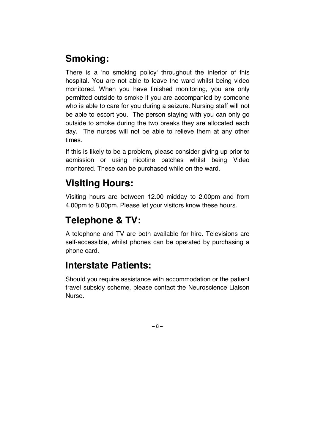# **Smoking:**

There is a 'no smoking policy' throughout the interior of this hospital. You are not able to leave the ward whilst being video monitored. When you have finished monitoring, you are only permitted outside to smoke if you are accompanied by someone who is able to care for you during a seizure. Nursing staff will not be able to escort you. The person staying with you can only go outside to smoke during the two breaks they are allocated each day. The nurses will not be able to relieve them at any other times.

If this is likely to be a problem, please consider giving up prior to admission or using nicotine patches whilst being Video monitored. These can be purchased while on the ward.

# **Visiting Hours:**

Visiting hours are between 12.00 midday to 2.00pm and from 4.00pm to 8.00pm. Please let your visitors know these hours.

# **Telephone & TV:**

A telephone and TV are both available for hire. Televisions are self-accessible, whilst phones can be operated by purchasing a phone card.

# **Interstate Patients:**

Should you require assistance with accommodation or the patient travel subsidy scheme, please contact the Neuroscience Liaison Nurse.

– 8 –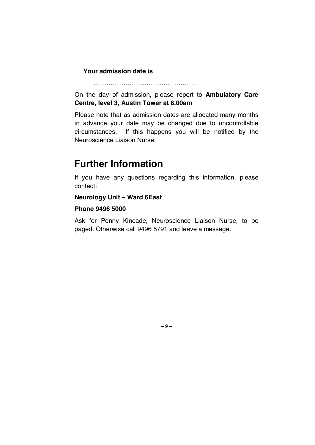#### **Your admission date is**

On the day of admission, please report to **Ambulatory Care Centre, level 3, Austin Tower at 8.00am** 

…………………………………………

Please note that as admission dates are allocated many months in advance your date may be changed due to uncontrollable circumstances. If this happens you will be notified by the Neuroscience Liaison Nurse.

### **Further Information**

If you have any questions regarding this information, please contact:

#### **Neurology Unit – Ward 6East**

#### **Phone 9496 5000**

Ask for Penny Kincade, Neuroscience Liaison Nurse, to be paged. Otherwise call 9496 5791 and leave a message.

– 9 –